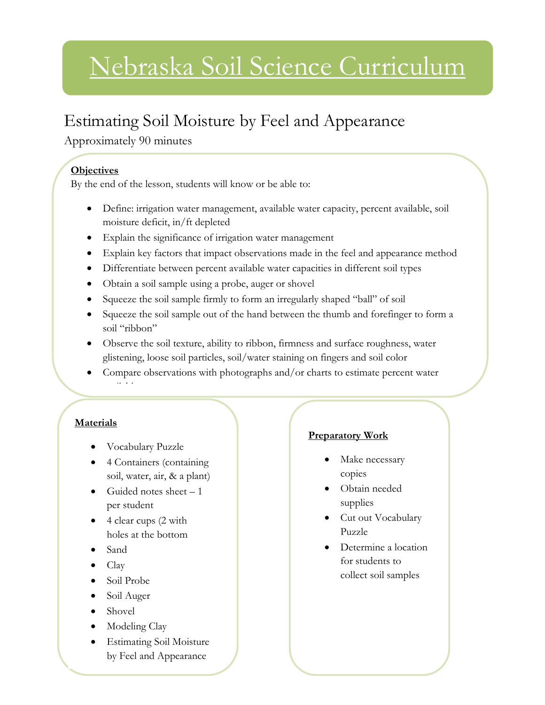# Nebraska Soil Science Curriculum

### Estimating Soil Moisture by Feel and Appearance

Approximately 90 minutes

#### **Objectives**

By the end of the lesson, students will know or be able to:

- Define: irrigation water management, available water capacity, percent available, soil moisture deficit, in/ft depleted
- Explain the significance of irrigation water management
- Explain key factors that impact observations made in the feel and appearance method
- Differentiate between percent available water capacities in different soil types
- Obtain a soil sample using a probe, auger or shovel
- Squeeze the soil sample firmly to form an irregularly shaped "ball" of soil
- Squeeze the soil sample out of the hand between the thumb and forefinger to form a soil "ribbon"
- Observe the soil texture, ability to ribbon, firmness and surface roughness, water glistening, loose soil particles, soil/water staining on fingers and soil color
- Compare observations with photographs and/or charts to estimate percent water available

#### **Materials**

- Vocabulary Puzzle
- 4 Containers (containing soil, water, air, & a plant)
- Guided notes sheet  $-1$ per student
- 4 clear cups (2 with holes at the bottom
- Sand
- Clay
- Soil Probe
- Soil Auger
- Shovel
- Modeling Clay
- Estimating Soil Moisture by Feel and Appearance

#### **Preparatory Work**

- Make necessary copies
- Obtain needed supplies
- Cut out Vocabulary Puzzle
- Determine a location for students to collect soil samples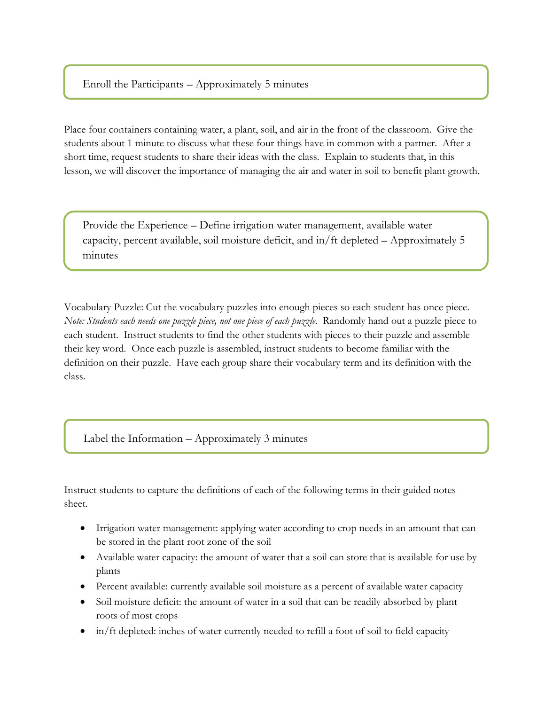#### Enroll the Participants – Approximately 5 minutes

l

Place four containers containing water, a plant, soil, and air in the front of the classroom. Give the students about 1 minute to discuss what these four things have in common with a partner. After a short time, request students to share their ideas with the class. Explain to students that, in this lesson, we will discover the importance of managing the air and water in soil to benefit plant growth.

Provide the Experience – Define irrigation water management, available water capacity, percent available, soil moisture deficit, and in/ft depleted – Approximately 5 minutes

Vocabulary Puzzle: Cut the vocabulary puzzles into enough pieces so each student has once piece. *Note: Students each needs one puzzle piece, not one piece of each puzzle.* Randomly hand out a puzzle piece to each student. Instruct students to find the other students with pieces to their puzzle and assemble their key word. Once each puzzle is assembled, instruct students to become familiar with the definition on their puzzle. Have each group share their vocabulary term and its definition with the class.

Label the Information – Approximately 3 minutes

Instruct students to capture the definitions of each of the following terms in their guided notes sheet.

- Irrigation water management: applying water according to crop needs in an amount that can be stored in the plant root zone of the soil
- Available water capacity: the amount of water that a soil can store that is available for use by plants
- Percent available: currently available soil moisture as a percent of available water capacity
- Soil moisture deficit: the amount of water in a soil that can be readily absorbed by plant roots of most crops
- in/ft depleted: inches of water currently needed to refill a foot of soil to field capacity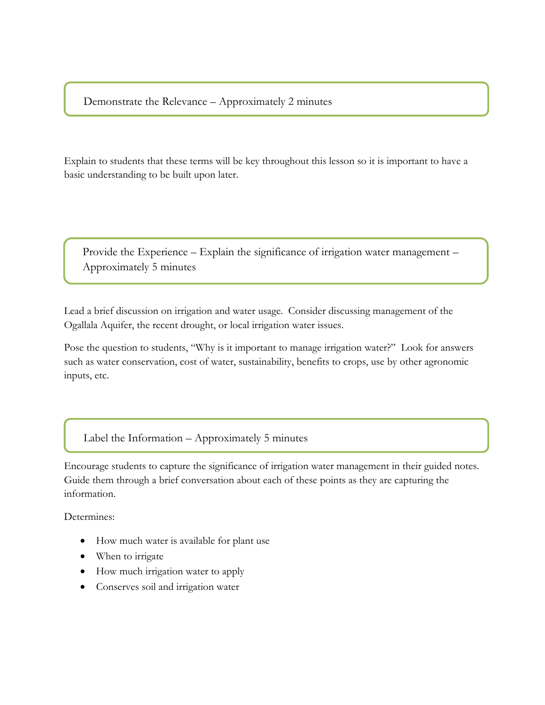Demonstrate the Relevance – Approximately 2 minutes

Explain to students that these terms will be key throughout this lesson so it is important to have a basic understanding to be built upon later.

Provide the Experience – Explain the significance of irrigation water management – Approximately 5 minutes

Lead a brief discussion on irrigation and water usage. Consider discussing management of the Ogallala Aquifer, the recent drought, or local irrigation water issues.

Pose the question to students, "Why is it important to manage irrigation water?" Look for answers such as water conservation, cost of water, sustainability, benefits to crops, use by other agronomic inputs, etc.

Label the Information – Approximately 5 minutes

Encourage students to capture the significance of irrigation water management in their guided notes. Guide them through a brief conversation about each of these points as they are capturing the information.

Determines:

- How much water is available for plant use
- When to irrigate
- How much irrigation water to apply
- Conserves soil and irrigation water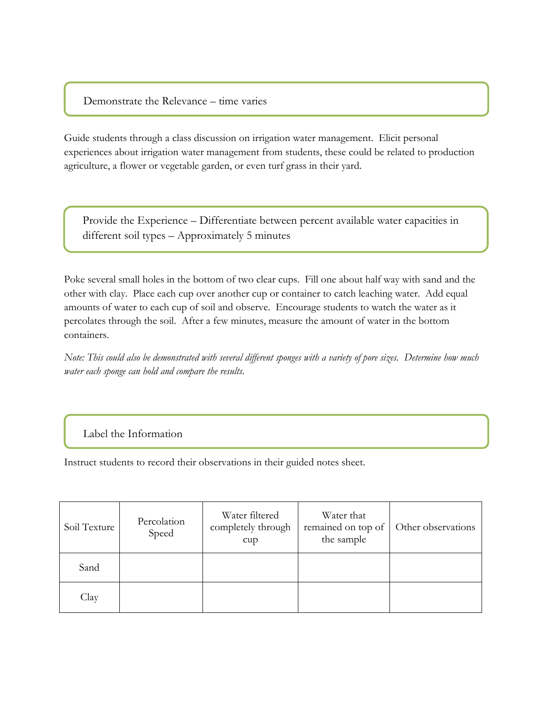#### Demonstrate the Relevance – time varies

Guide students through a class discussion on irrigation water management. Elicit personal experiences about irrigation water management from students, these could be related to production agriculture, a flower or vegetable garden, or even turf grass in their yard.

Provide the Experience – Differentiate between percent available water capacities in different soil types – Approximately 5 minutes

Poke several small holes in the bottom of two clear cups. Fill one about half way with sand and the other with clay. Place each cup over another cup or container to catch leaching water. Add equal amounts of water to each cup of soil and observe. Encourage students to watch the water as it percolates through the soil. After a few minutes, measure the amount of water in the bottom containers.

*Note: This could also be demonstrated with several different sponges with a variety of pore sizes. Determine how much water each sponge can hold and compare the results.* 

#### Label the Information

Instruct students to record their observations in their guided notes sheet.

| Soil Texture | Percolation<br>Speed | Water filtered<br>completely through<br>cup | Water that<br>remained on top of<br>the sample | Other observations |
|--------------|----------------------|---------------------------------------------|------------------------------------------------|--------------------|
| Sand         |                      |                                             |                                                |                    |
| Clay         |                      |                                             |                                                |                    |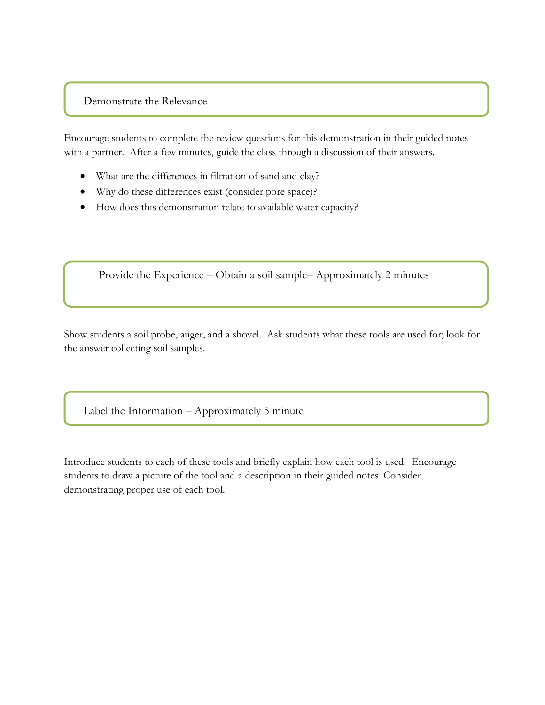#### Demonstrate the Relevance

Encourage students to complete the review questions for this demonstration in their guided notes with a partner. After a few minutes, guide the class through a discussion of their answers.

- What are the differences in filtration of sand and clay?
- Why do these differences exist (consider pore space)?
- How does this demonstration relate to available water capacity?

Provide the Experience – Obtain a soil sample– Approximately 2 minutes

Show students a soil probe, auger, and a shovel. Ask students what these tools are used for; look for the answer collecting soil samples.

Label the Information – Approximately 5 minute

Introduce students to each of these tools and briefly explain how each tool is used. Encourage students to draw a picture of the tool and a description in their guided notes. Consider demonstrating proper use of each tool.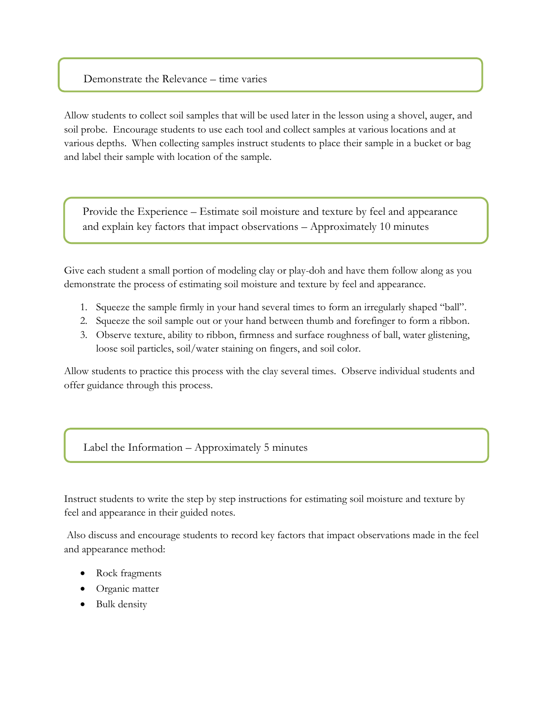#### Demonstrate the Relevance – time varies

Allow students to collect soil samples that will be used later in the lesson using a shovel, auger, and soil probe. Encourage students to use each tool and collect samples at various locations and at various depths. When collecting samples instruct students to place their sample in a bucket or bag and label their sample with location of the sample.

Provide the Experience – Estimate soil moisture and texture by feel and appearance and explain key factors that impact observations – Approximately 10 minutes

Give each student a small portion of modeling clay or play-doh and have them follow along as you demonstrate the process of estimating soil moisture and texture by feel and appearance.

- 1. Squeeze the sample firmly in your hand several times to form an irregularly shaped "ball".
- 2. Squeeze the soil sample out or your hand between thumb and forefinger to form a ribbon.
- 3. Observe texture, ability to ribbon, firmness and surface roughness of ball, water glistening, loose soil particles, soil/water staining on fingers, and soil color.

Allow students to practice this process with the clay several times. Observe individual students and offer guidance through this process.

Label the Information – Approximately 5 minutes

Instruct students to write the step by step instructions for estimating soil moisture and texture by feel and appearance in their guided notes.

Also discuss and encourage students to record key factors that impact observations made in the feel and appearance method:

- Rock fragments
- Organic matter
- Bulk density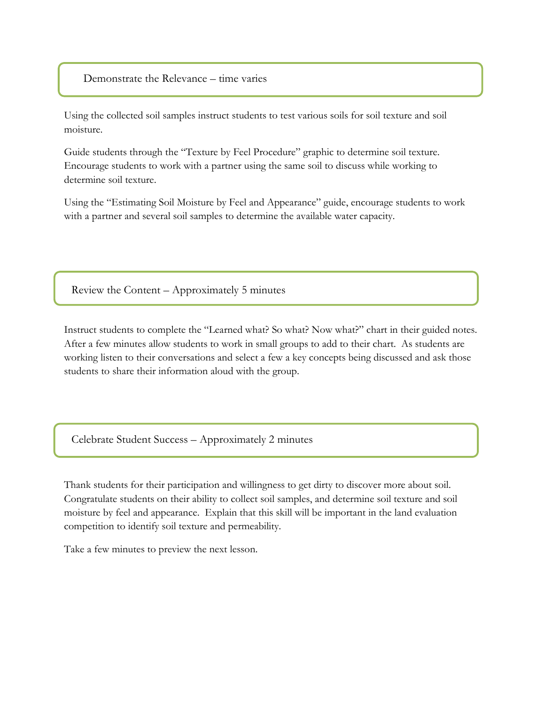#### Demonstrate the Relevance – time varies

Using the collected soil samples instruct students to test various soils for soil texture and soil moisture.

Guide students through the "Texture by Feel Procedure" graphic to determine soil texture. Encourage students to work with a partner using the same soil to discuss while working to determine soil texture.

Using the "Estimating Soil Moisture by Feel and Appearance" guide, encourage students to work with a partner and several soil samples to determine the available water capacity.

Review the Content – Approximately 5 minutes

Instruct students to complete the "Learned what? So what? Now what?" chart in their guided notes. After a few minutes allow students to work in small groups to add to their chart. As students are working listen to their conversations and select a few a key concepts being discussed and ask those students to share their information aloud with the group.

Celebrate Student Success – Approximately 2 minutes

Thank students for their participation and willingness to get dirty to discover more about soil. Congratulate students on their ability to collect soil samples, and determine soil texture and soil moisture by feel and appearance. Explain that this skill will be important in the land evaluation competition to identify soil texture and permeability.

Take a few minutes to preview the next lesson.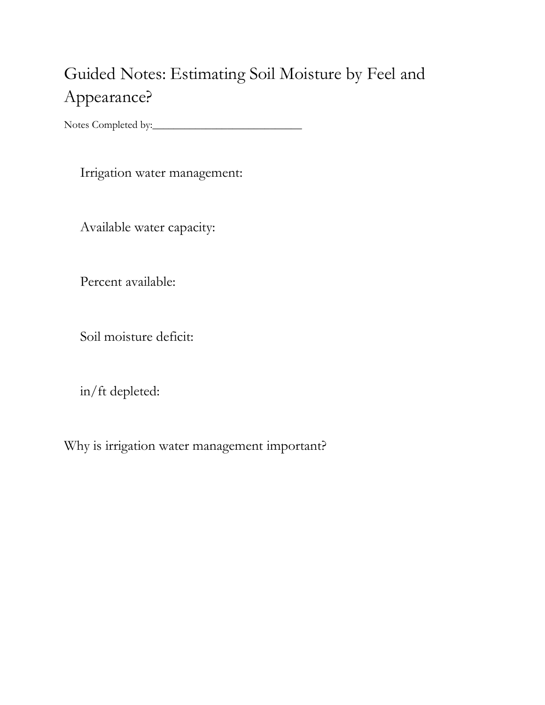## Guided Notes: Estimating Soil Moisture by Feel and Appearance?

Notes Completed by:\_\_\_\_\_\_\_\_\_\_\_\_\_\_\_\_\_\_\_\_\_\_\_\_\_\_\_\_

Irrigation water management:

Available water capacity:

Percent available:

Soil moisture deficit:

in/ft depleted:

Why is irrigation water management important?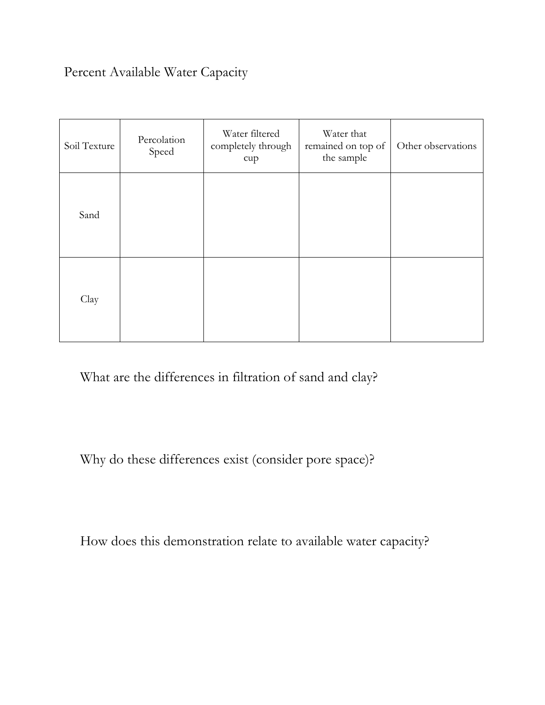### Percent Available Water Capacity

| Soil Texture | Percolation<br>Speed | Water filtered<br>completely through<br>cupp | Water that<br>remained on top of<br>the sample | Other observations |
|--------------|----------------------|----------------------------------------------|------------------------------------------------|--------------------|
| Sand         |                      |                                              |                                                |                    |
| Clay         |                      |                                              |                                                |                    |

What are the differences in filtration of sand and clay?

Why do these differences exist (consider pore space)?

How does this demonstration relate to available water capacity?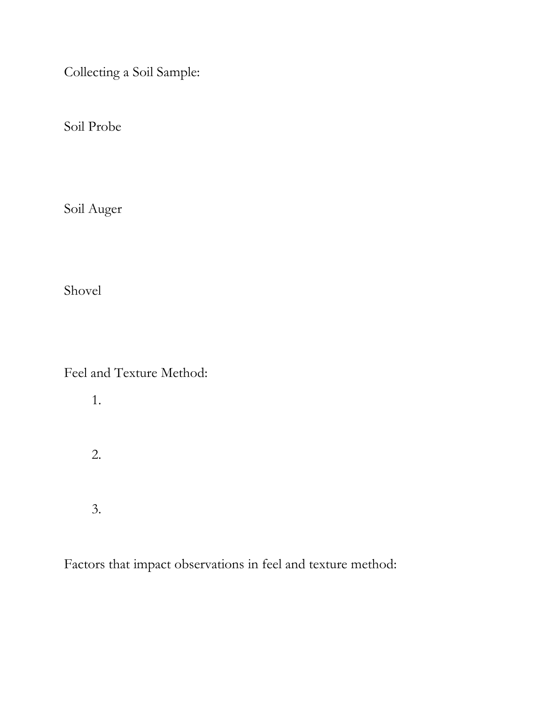Collecting a Soil Sample:

Soil Probe

Soil Auger

Shovel

Feel and Texture Method:

1.

- 2.
- 3.

Factors that impact observations in feel and texture method: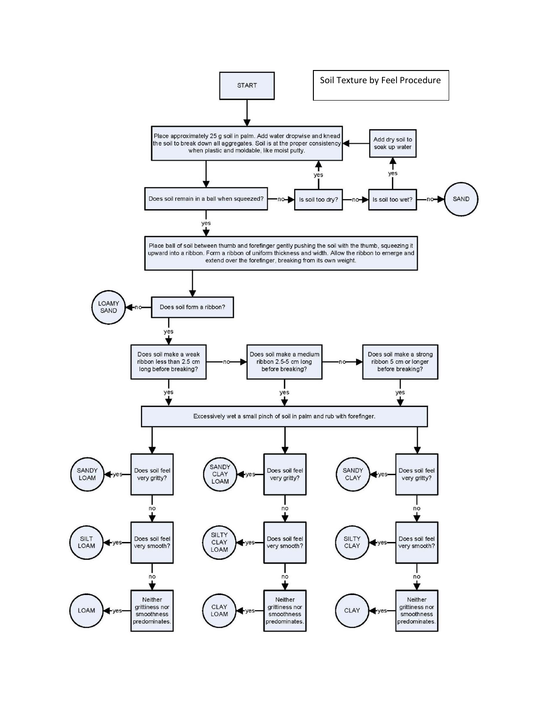